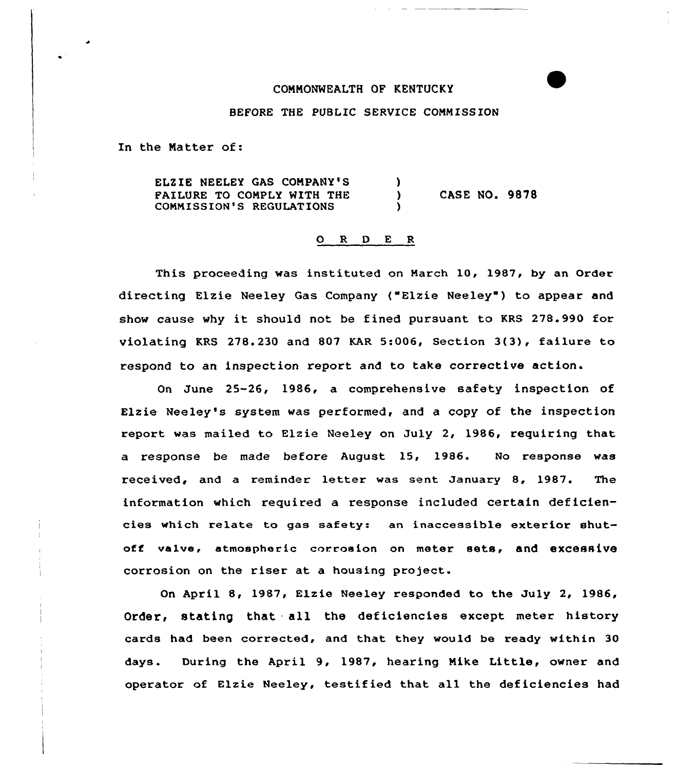## CONNONMEALTH OF KENTUCKY

## BEFORE THE PUBLIC SERVICE CONNISSION

In the Natter of:

ELZIE NEELEY GAS CONPANY'S Y. FAILURE TO CONPLY MITH THE CASE NO. 9878 A. COMMISSION'S REGULATIONS Y

## 0 R <sup>D</sup> E <sup>R</sup>

This proceeding was instituted on March 10, 1987, by an Order directing Elzie Neeley Gas Company ("Elzie Neeley") to appear and show cause why it should not be fined pursuant to KRS 278.990 for violating KRS 278.230 and 807 KAR 5:006, Section 3(3), failure to respond to an inspection report and to take corrective action.

On June 25-26, 1986, a comprehensive safety inspection of Elzie Neeley's system was performed, and a copy of the inspection report was mailed to Elzie Neeley on July 2, 1986, requiring that a response be made before August 15, 1986. No response was received, and a reminder letter was sent January 8, 1987. The information which required a response included certain deficiencies which relate to gas safety: an inaccessible exterior shutoff valve, atmospheric corrosion on meter sets, and excessive corrosion on the riser at a housing project.

On April 8, 1987, Elzie Neeley responded to the July 2, 1986, Order, stating that all the deficiencies except meter history cards had been corrected, and that they would be ready within 30 days. During the April 9, 1987, hearing Mike Little, owner and operator of Elzie Neeley, testified that all the deficiencies had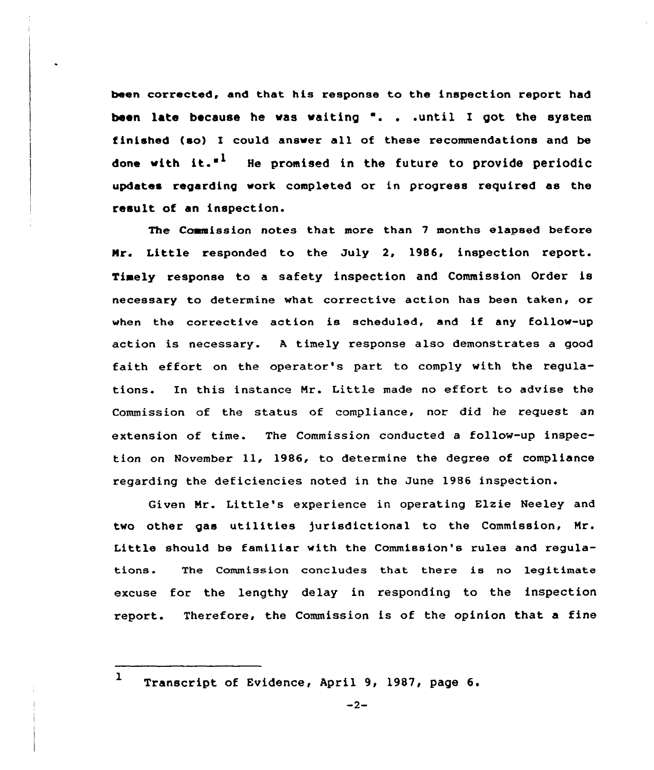been corrected, and that his response to the inspection report had been late because he was waiting ". . .until I got the system finished (so) I could answer all of these recommendations and be done with it."<sup>1</sup> He promised in the future to provide periodic updates regarding work completed or in progress required as the result of an inspection.

The Commission notes that more than 7 months elapsed before Mr. Little responded to the July 2, 1986, inspection report. Timely response to a safety inspection and Commission Order is necessary to determine what corrective action has been taken, or when the corrective action is scheduled, and if any follow-up action is necessary. <sup>A</sup> timely response also demonstrates a good faith effort on the operator's part to comply with the regulations. In this instance Mr. Little made no effort to advise the Commission of the status of compliance, nor did he request an extension of time. The Commission conducted a follow-up inspection on November ll, 1986, to determine the degree of compliance regarding the deficiencies noted in the June 1986 inspection.

Given Mr. Little's experience in operating Elzie Neeley and two other gas utilities )urisdictional to the Commission, Mr. Little should be familiar with the Commission's rules and regulations. The Commission concludes that there is no legitimate excuse for the lengthy delay in responding to the inspection report. Therefore, the Commission is of the opinion that a fine

<sup>1</sup> Transcript of Evidence, April 9, 1987, page 6.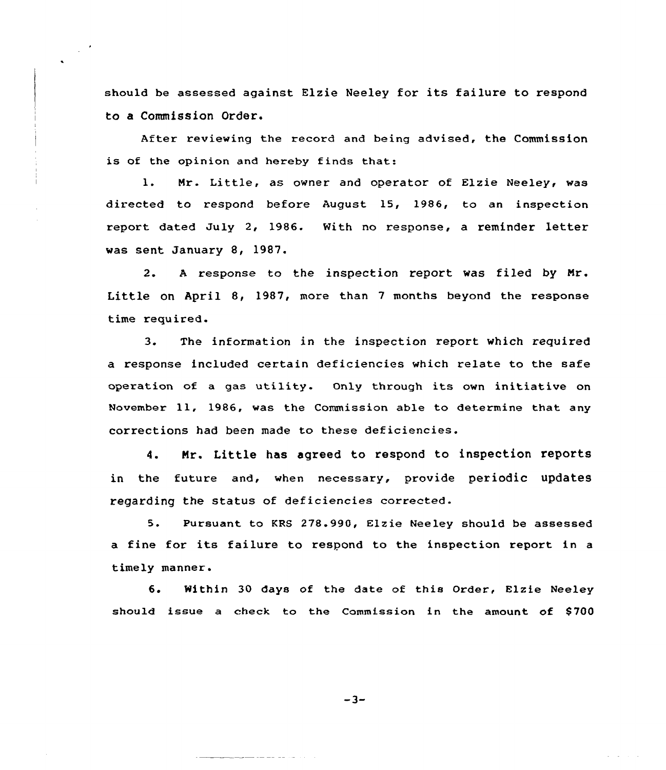should be assessed against Elzie Neeley for its failure to respond to a Commission Order.

After reviewing the record and being advised, the Commission is of the opinion and hereby finds that:

1. Mr. Little, as owner and operator of Elzie Neeley, was directed to respond before August 15, 1986, to an inspection report dated July 2, 1986. With no response, a reminder letter was sent January 8, 1987.

2. <sup>A</sup> response to the inspection report was filed by Mr. Little on April 8, 1987, more than <sup>7</sup> months beyond the response time required.

3. The information in the inspection report which required a response included certain deficiencies which relate to the safe operation of <sup>a</sup> gas utility. Only through its own initiative on November ll, 1986, was the Commission able to determine that any corrections had been made to these deficiencies.

4. Nr. Little has agreed to respond to inspection reports in the future and, when necessary, provide periodic updates regarding the status of deficiencies corrected.

5. Pursuant to KRS 278.990, Elzie Neeley should be assessed <sup>a</sup> fine for its failure to respond to the inspection report in <sup>a</sup> timely manner.

6. Within 30 days of the date cf this Order, Elzie Neeley should issue a check to the Commission in the amount of \$700

 $-3-$